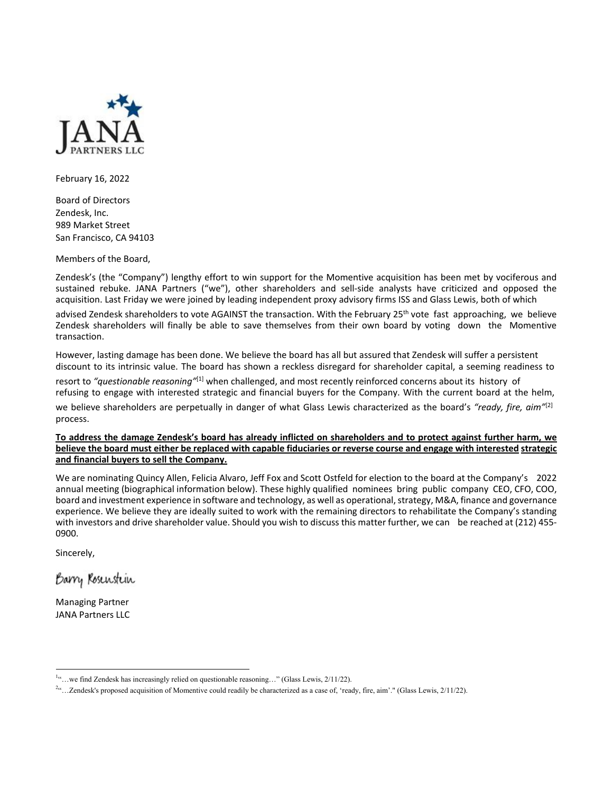

February 16, 2022

Board of Directors Zendesk, Inc. 989 Market Street San Francisco, CA 94103

Members of the Board,

Zendesk's (the "Company") lengthy effort to win support for the Momentive acquisition has been met by vociferous and sustained rebuke. JANA Partners ("we"), other shareholders and sell-side analysts have criticized and opposed the acquisition. Last Friday we were joined by leading independent proxy advisory firms ISS and Glass Lewis, both of which

advised Zendesk shareholders to vote AGAINST the transaction. With the February 25<sup>th</sup> vote fast approaching, we believe Zendesk shareholders will finally be able to save themselves from their own board by voting down the Momentive transaction.

However, lasting damage has been done. We believe the board has all but assured that Zendesk will suffer a persistent discount to its intrinsic value. The board has shown a reckless disregard for shareholder capital, a seeming readiness to

resort to *"questionable reasoning"*[1] when challenged, and most recently reinforced concerns about its history of refusing to engage with interested strategic and financial buyers for the Company. With the current board at the helm, we believe shareholders are perpetually in danger of what Glass Lewis characterized as the board's *"ready, fire, aim"*[2] process.

**To address the damage Zendesk's board has already inflicted on shareholders and to protect against further harm, we believe the board must either be replaced with capable fiduciaries or reverse course and engage with interested strategic and financial buyers to sell the Company.**

We are nominating Quincy Allen, Felicia Alvaro, Jeff Fox and Scott Ostfeld for election to the board at the Company's 2022 annual meeting (biographical information below). These highly qualified nominees bring public company CEO, CFO, COO, board and investment experience in software and technology, as well as operational, strategy, M&A, finance and governance experience. We believe they are ideally suited to work with the remaining directors to rehabilitate the Company's standing with investors and drive shareholder value. Should you wish to discuss this matter further, we can be reached at (212) 455-0900.

Sincerely,

Barry Rosenstein

Managing Partner JANA Partners LLC

<sup>&</sup>lt;sup>1</sup>"...we find Zendesk has increasingly relied on questionable reasoning..." (Glass Lewis, 2/11/22).

<sup>&</sup>lt;sup>24</sup>...Zendesk's proposed acquisition of Momentive could readily be characterized as a case of, 'ready, fire, aim'." (Glass Lewis, 2/11/22).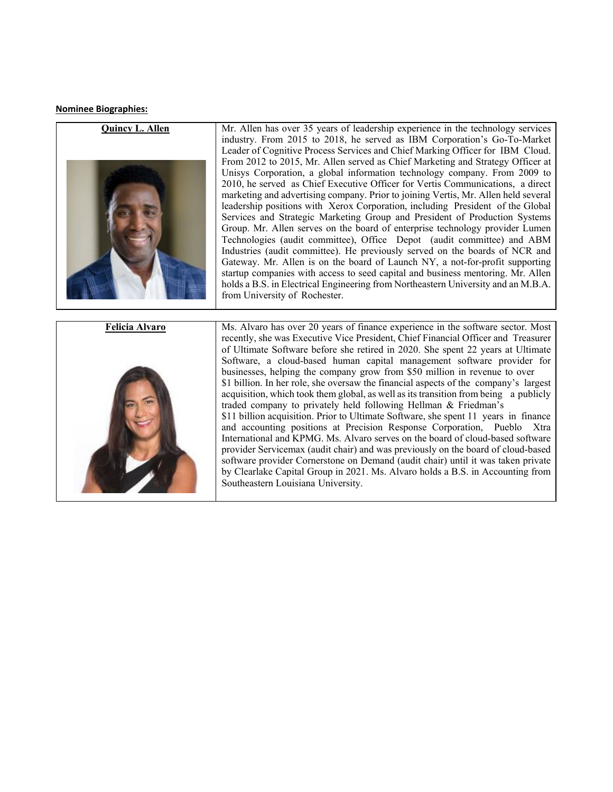## **Nominee Biographies:**



Mr. Allen has over 35 years of leadership experience in the technology services industry. From 2015 to 2018, he served as IBM Corporation's Go-To-Market Leader of Cognitive Process Services and Chief Marking Officer for IBM Cloud. From 2012 to 2015, Mr. Allen served as Chief Marketing and Strategy Officer at Unisys Corporation, a global information technology company. From 2009 to 2010, he served as Chief Executive Officer for Vertis Communications, a direct marketing and advertising company. Prior to joining Vertis, Mr. Allen held several leadership positions with Xerox Corporation, including President of the Global Services and Strategic Marketing Group and President of Production Systems Group. Mr. Allen serves on the board of enterprise technology provider Lumen Technologies (audit committee), Office Depot (audit committee) and ABM Industries (audit committee). He previously served on the boards of NCR and Gateway. Mr. Allen is on the board of Launch NY, a not-for-profit supporting startup companies with access to seed capital and business mentoring. Mr. Allen holds a B.S. in Electrical Engineering from Northeastern University and an M.B.A. from University of Rochester.

**Felicia Alvaro**



Ms. Alvaro has over 20 years of finance experience in the software sector. Most recently, she was Executive Vice President, Chief Financial Officer and Treasurer of Ultimate Software before she retired in 2020. She spent 22 years at Ultimate Software, a cloud-based human capital management software provider for businesses, helping the company grow from \$50 million in revenue to over \$1 billion. In her role, she oversaw the financial aspects of the company's largest acquisition, which took them global, as well as its transition from being a publicly traded company to privately held following Hellman & Friedman's \$11 billion acquisition. Prior to Ultimate Software, she spent 11 years in finance and accounting positions at Precision Response Corporation, Pueblo Xtra International and KPMG. Ms. Alvaro serves on the board of cloud-based software provider Servicemax (audit chair) and was previously on the board of cloud-based software provider Cornerstone on Demand (audit chair) until it was taken private by Clearlake Capital Group in 2021. Ms. Alvaro holds a B.S. in Accounting from Southeastern Louisiana University.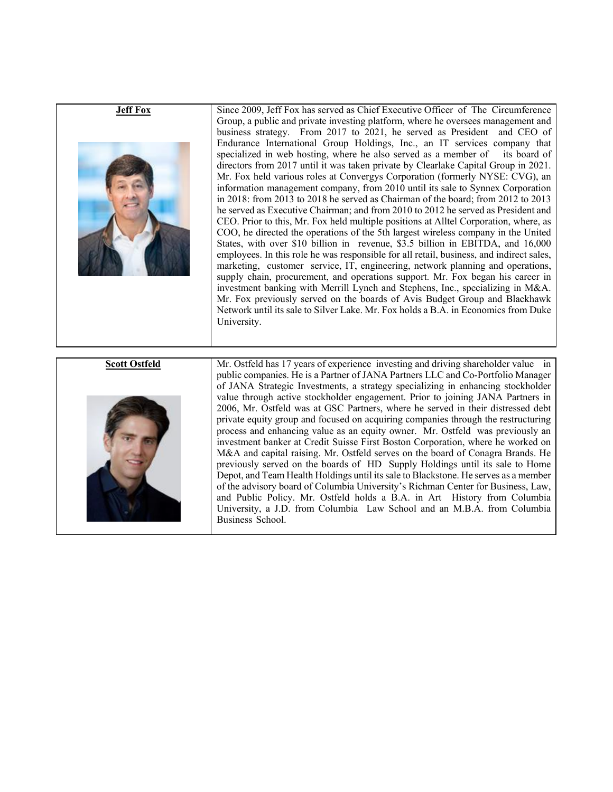| <b>Jeff Fox</b>      | Since 2009, Jeff Fox has served as Chief Executive Officer of The Circumference<br>Group, a public and private investing platform, where he oversees management and<br>business strategy. From 2017 to 2021, he served as President and CEO of<br>Endurance International Group Holdings, Inc., an IT services company that<br>specialized in web hosting, where he also served as a member of<br>its board of<br>directors from 2017 until it was taken private by Clearlake Capital Group in 2021.<br>Mr. Fox held various roles at Convergys Corporation (formerly NYSE: CVG), an<br>information management company, from 2010 until its sale to Synnex Corporation<br>in 2018: from 2013 to 2018 he served as Chairman of the board; from 2012 to 2013<br>he served as Executive Chairman; and from 2010 to 2012 he served as President and<br>CEO. Prior to this, Mr. Fox held multiple positions at Alltel Corporation, where, as<br>COO, he directed the operations of the 5th largest wireless company in the United<br>States, with over \$10 billion in revenue, \$3.5 billion in EBITDA, and 16,000<br>employees. In this role he was responsible for all retail, business, and indirect sales,<br>marketing, customer service, IT, engineering, network planning and operations,<br>supply chain, procurement, and operations support. Mr. Fox began his career in<br>investment banking with Merrill Lynch and Stephens, Inc., specializing in M&A.<br>Mr. Fox previously served on the boards of Avis Budget Group and Blackhawk<br>Network until its sale to Silver Lake. Mr. Fox holds a B.A. in Economics from Duke<br>University. |
|----------------------|-----------------------------------------------------------------------------------------------------------------------------------------------------------------------------------------------------------------------------------------------------------------------------------------------------------------------------------------------------------------------------------------------------------------------------------------------------------------------------------------------------------------------------------------------------------------------------------------------------------------------------------------------------------------------------------------------------------------------------------------------------------------------------------------------------------------------------------------------------------------------------------------------------------------------------------------------------------------------------------------------------------------------------------------------------------------------------------------------------------------------------------------------------------------------------------------------------------------------------------------------------------------------------------------------------------------------------------------------------------------------------------------------------------------------------------------------------------------------------------------------------------------------------------------------------------------------------------------------------------------------------------------------------|
| <b>Scott Ostfeld</b> | Mr. Ostfeld has 17 years of experience investing and driving shareholder value in<br>public companies. He is a Partner of JANA Partners LLC and Co-Portfolio Manager<br>of JANA Strategic Investments, a strategy specializing in enhancing stockholder<br>value through active stockholder engagement. Prior to joining JANA Partners in<br>2006, Mr. Ostfeld was at GSC Partners, where he served in their distressed debt<br>private equity group and focused on acquiring companies through the restructuring<br>process and enhancing value as an equity owner. Mr. Ostfeld was previously an<br>investment banker at Credit Suisse First Boston Corporation, where he worked on<br>M&A and capital raising. Mr. Ostfeld serves on the board of Conagra Brands. He<br>previously served on the boards of HD Supply Holdings until its sale to Home<br>Depot, and Team Health Holdings until its sale to Blackstone. He serves as a member<br>of the advisory board of Columbia University's Richman Center for Business, Law,<br>and Public Policy. Mr. Ostfeld holds a B.A. in Art History from Columbia<br>University, a J.D. from Columbia Law School and an M.B.A. from Columbia<br>Business School.                                                                                                                                                                                                                                                                                                                                                                                                                                       |